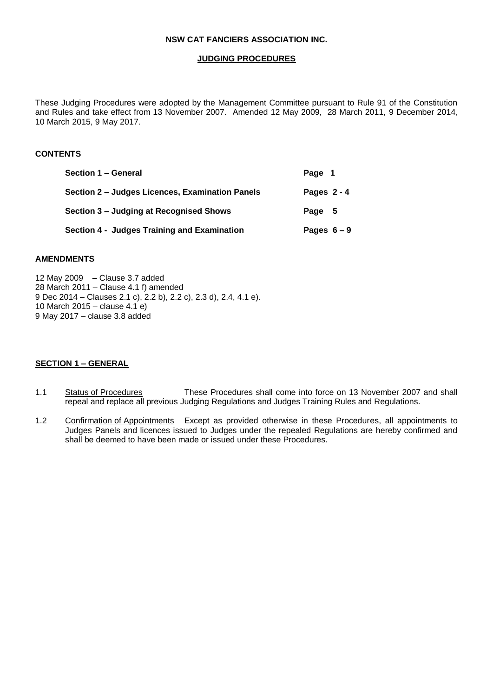## **JUDGING PROCEDURES**

These Judging Procedures were adopted by the Management Committee pursuant to Rule 91 of the Constitution and Rules and take effect from 13 November 2007. Amended 12 May 2009, 28 March 2011, 9 December 2014, 10 March 2015, 9 May 2017.

## **CONTENTS**

| Section 1 – General                             | Page 1        |  |
|-------------------------------------------------|---------------|--|
| Section 2 - Judges Licences, Examination Panels | Pages $2 - 4$ |  |
| Section 3 – Judging at Recognised Shows         | Page 5        |  |
| Section 4 - Judges Training and Examination     | Pages $6-9$   |  |

# **AMENDMENTS**

12 May 2009– Clause 3.7 added 28 March 2011 – Clause 4.1 f) amended 9 Dec 2014 – Clauses 2.1 c), 2.2 b), 2.2 c), 2.3 d), 2.4, 4.1 e). 10 March 2015 – clause 4.1 e) 9 May 2017 – clause 3.8 added

### **SECTION 1 – GENERAL**

- 1.1 Status of Procedures These Procedures shall come into force on 13 November 2007 and shall repeal and replace all previous Judging Regulations and Judges Training Rules and Regulations.
- 1.2 Confirmation of Appointments Except as provided otherwise in these Procedures, all appointments to Judges Panels and licences issued to Judges under the repealed Regulations are hereby confirmed and shall be deemed to have been made or issued under these Procedures.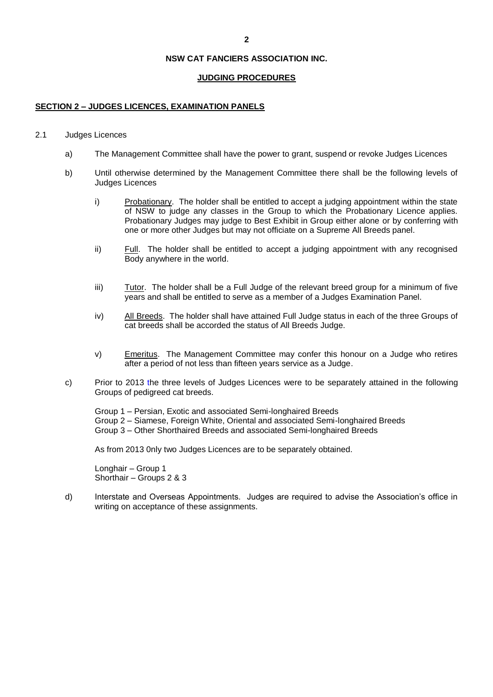### **JUDGING PROCEDURES**

#### **SECTION 2 – JUDGES LICENCES, EXAMINATION PANELS**

#### 2.1 Judges Licences

- a) The Management Committee shall have the power to grant, suspend or revoke Judges Licences
- b) Until otherwise determined by the Management Committee there shall be the following levels of Judges Licences
	- i) Probationary. The holder shall be entitled to accept a judging appointment within the state of NSW to judge any classes in the Group to which the Probationary Licence applies. Probationary Judges may judge to Best Exhibit in Group either alone or by conferring with one or more other Judges but may not officiate on a Supreme All Breeds panel.
	- ii) Full. The holder shall be entitled to accept a judging appointment with any recognised Body anywhere in the world.
	- iii) Tutor. The holder shall be a Full Judge of the relevant breed group for a minimum of five years and shall be entitled to serve as a member of a Judges Examination Panel.
	- iv) All Breeds. The holder shall have attained Full Judge status in each of the three Groups of cat breeds shall be accorded the status of All Breeds Judge.
	- v) Emeritus. The Management Committee may confer this honour on a Judge who retires after a period of not less than fifteen years service as a Judge.
- c) Prior to 2013 the three levels of Judges Licences were to be separately attained in the following Groups of pedigreed cat breeds.

Group 1 – Persian, Exotic and associated Semi-longhaired Breeds Group 2 – Siamese, Foreign White, Oriental and associated Semi-longhaired Breeds Group 3 – Other Shorthaired Breeds and associated Semi-longhaired Breeds

As from 2013 0nly two Judges Licences are to be separately obtained.

Longhair – Group 1 Shorthair – Groups 2 & 3

d) Interstate and Overseas Appointments. Judges are required to advise the Association's office in writing on acceptance of these assignments.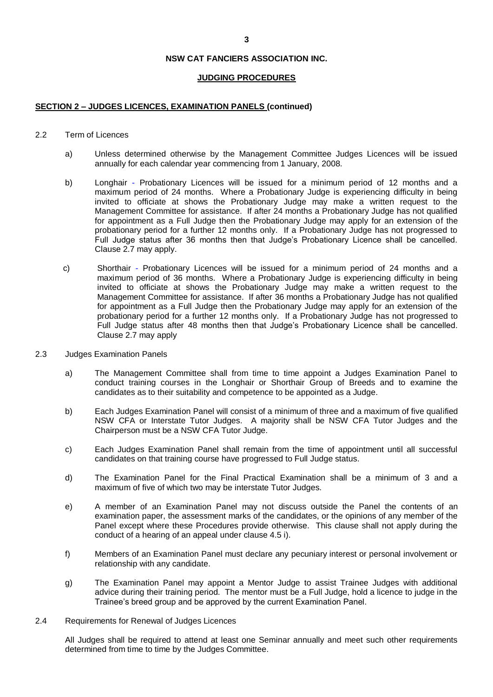#### **JUDGING PROCEDURES**

#### **SECTION 2 – JUDGES LICENCES, EXAMINATION PANELS (continued)**

#### 2.2 Term of Licences

- a) Unless determined otherwise by the Management Committee Judges Licences will be issued annually for each calendar year commencing from 1 January, 2008.
- b) Longhair Probationary Licences will be issued for a minimum period of 12 months and a maximum period of 24 months. Where a Probationary Judge is experiencing difficulty in being invited to officiate at shows the Probationary Judge may make a written request to the Management Committee for assistance. If after 24 months a Probationary Judge has not qualified for appointment as a Full Judge then the Probationary Judge may apply for an extension of the probationary period for a further 12 months only. If a Probationary Judge has not progressed to Full Judge status after 36 months then that Judge's Probationary Licence shall be cancelled. Clause 2.7 may apply.
- c) Shorthair Probationary Licences will be issued for a minimum period of 24 months and a maximum period of 36 months. Where a Probationary Judge is experiencing difficulty in being invited to officiate at shows the Probationary Judge may make a written request to the Management Committee for assistance. If after 36 months a Probationary Judge has not qualified for appointment as a Full Judge then the Probationary Judge may apply for an extension of the probationary period for a further 12 months only. If a Probationary Judge has not progressed to Full Judge status after 48 months then that Judge's Probationary Licence shall be cancelled. Clause 2.7 may apply
- 2.3 Judges Examination Panels
	- a) The Management Committee shall from time to time appoint a Judges Examination Panel to conduct training courses in the Longhair or Shorthair Group of Breeds and to examine the candidates as to their suitability and competence to be appointed as a Judge.
	- b) Each Judges Examination Panel will consist of a minimum of three and a maximum of five qualified NSW CFA or Interstate Tutor Judges. A majority shall be NSW CFA Tutor Judges and the Chairperson must be a NSW CFA Tutor Judge.
	- c) Each Judges Examination Panel shall remain from the time of appointment until all successful candidates on that training course have progressed to Full Judge status.
	- d) The Examination Panel for the Final Practical Examination shall be a minimum of 3 and a maximum of five of which two may be interstate Tutor Judges.
	- e) A member of an Examination Panel may not discuss outside the Panel the contents of an examination paper, the assessment marks of the candidates, or the opinions of any member of the Panel except where these Procedures provide otherwise. This clause shall not apply during the conduct of a hearing of an appeal under clause 4.5 i).
	- f) Members of an Examination Panel must declare any pecuniary interest or personal involvement or relationship with any candidate.
	- g) The Examination Panel may appoint a Mentor Judge to assist Trainee Judges with additional advice during their training period. The mentor must be a Full Judge, hold a licence to judge in the Trainee's breed group and be approved by the current Examination Panel.
- 2.4 Requirements for Renewal of Judges Licences

All Judges shall be required to attend at least one Seminar annually and meet such other requirements determined from time to time by the Judges Committee.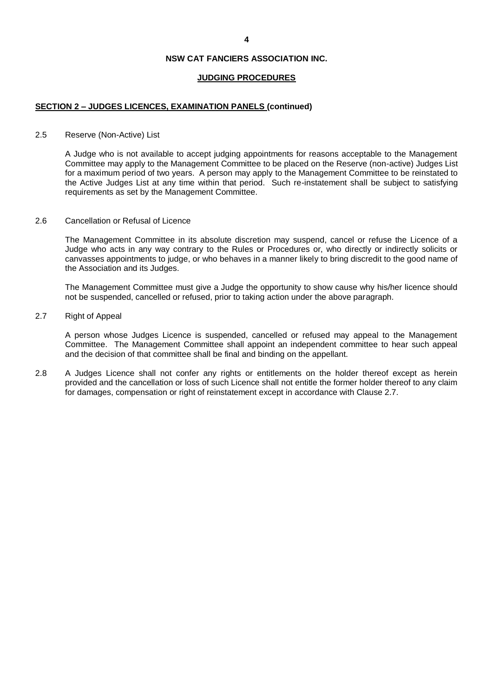### **JUDGING PROCEDURES**

## **SECTION 2 – JUDGES LICENCES, EXAMINATION PANELS (continued)**

#### 2.5 Reserve (Non-Active) List

A Judge who is not available to accept judging appointments for reasons acceptable to the Management Committee may apply to the Management Committee to be placed on the Reserve (non-active) Judges List for a maximum period of two years. A person may apply to the Management Committee to be reinstated to the Active Judges List at any time within that period. Such re-instatement shall be subject to satisfying requirements as set by the Management Committee.

#### 2.6 Cancellation or Refusal of Licence

The Management Committee in its absolute discretion may suspend, cancel or refuse the Licence of a Judge who acts in any way contrary to the Rules or Procedures or, who directly or indirectly solicits or canvasses appointments to judge, or who behaves in a manner likely to bring discredit to the good name of the Association and its Judges.

The Management Committee must give a Judge the opportunity to show cause why his/her licence should not be suspended, cancelled or refused, prior to taking action under the above paragraph.

#### 2.7 Right of Appeal

A person whose Judges Licence is suspended, cancelled or refused may appeal to the Management Committee. The Management Committee shall appoint an independent committee to hear such appeal and the decision of that committee shall be final and binding on the appellant.

2.8 A Judges Licence shall not confer any rights or entitlements on the holder thereof except as herein provided and the cancellation or loss of such Licence shall not entitle the former holder thereof to any claim for damages, compensation or right of reinstatement except in accordance with Clause 2.7.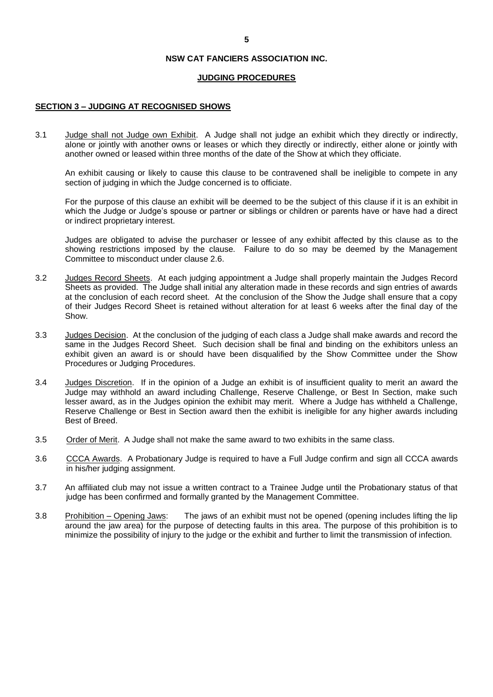### **JUDGING PROCEDURES**

#### **SECTION 3 – JUDGING AT RECOGNISED SHOWS**

3.1 Judge shall not Judge own Exhibit. A Judge shall not judge an exhibit which they directly or indirectly, alone or jointly with another owns or leases or which they directly or indirectly, either alone or jointly with another owned or leased within three months of the date of the Show at which they officiate.

An exhibit causing or likely to cause this clause to be contravened shall be ineligible to compete in any section of judging in which the Judge concerned is to officiate.

For the purpose of this clause an exhibit will be deemed to be the subject of this clause if it is an exhibit in which the Judge or Judge's spouse or partner or siblings or children or parents have or have had a direct or indirect proprietary interest.

Judges are obligated to advise the purchaser or lessee of any exhibit affected by this clause as to the showing restrictions imposed by the clause. Failure to do so may be deemed by the Management Committee to misconduct under clause 2.6.

- 3.2 Judges Record Sheets. At each judging appointment a Judge shall properly maintain the Judges Record Sheets as provided. The Judge shall initial any alteration made in these records and sign entries of awards at the conclusion of each record sheet. At the conclusion of the Show the Judge shall ensure that a copy of their Judges Record Sheet is retained without alteration for at least 6 weeks after the final day of the Show.
- 3.3 Judges Decision. At the conclusion of the judging of each class a Judge shall make awards and record the same in the Judges Record Sheet. Such decision shall be final and binding on the exhibitors unless an exhibit given an award is or should have been disqualified by the Show Committee under the Show Procedures or Judging Procedures.
- 3.4 Judges Discretion. If in the opinion of a Judge an exhibit is of insufficient quality to merit an award the Judge may withhold an award including Challenge, Reserve Challenge, or Best In Section, make such lesser award, as in the Judges opinion the exhibit may merit. Where a Judge has withheld a Challenge, Reserve Challenge or Best in Section award then the exhibit is ineligible for any higher awards including Best of Breed.
- 3.5 Order of Merit. A Judge shall not make the same award to two exhibits in the same class.
- 3.6 CCCA Awards. A Probationary Judge is required to have a Full Judge confirm and sign all CCCA awards in his/her judging assignment.
- 3.7 An affiliated club may not issue a written contract to a Trainee Judge until the Probationary status of that judge has been confirmed and formally granted by the Management Committee.
- 3.8 Prohibition Opening Jaws: The jaws of an exhibit must not be opened (opening includes lifting the lip around the jaw area) for the purpose of detecting faults in this area. The purpose of this prohibition is to minimize the possibility of injury to the judge or the exhibit and further to limit the transmission of infection.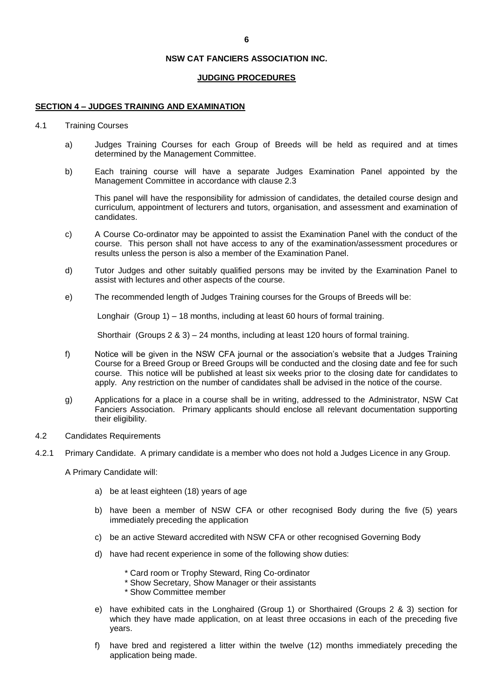#### **JUDGING PROCEDURES**

#### **SECTION 4 – JUDGES TRAINING AND EXAMINATION**

- 4.1 Training Courses
	- a) Judges Training Courses for each Group of Breeds will be held as required and at times determined by the Management Committee.
	- b) Each training course will have a separate Judges Examination Panel appointed by the Management Committee in accordance with clause 2.3

This panel will have the responsibility for admission of candidates, the detailed course design and curriculum, appointment of lecturers and tutors, organisation, and assessment and examination of candidates.

- c) A Course Co-ordinator may be appointed to assist the Examination Panel with the conduct of the course. This person shall not have access to any of the examination/assessment procedures or results unless the person is also a member of the Examination Panel.
- d) Tutor Judges and other suitably qualified persons may be invited by the Examination Panel to assist with lectures and other aspects of the course.
- e) The recommended length of Judges Training courses for the Groups of Breeds will be:

Longhair (Group 1) – 18 months, including at least 60 hours of formal training.

Shorthair (Groups 2 & 3) – 24 months, including at least 120 hours of formal training.

- f) Notice will be given in the NSW CFA journal or the association's website that a Judges Training Course for a Breed Group or Breed Groups will be conducted and the closing date and fee for such course. This notice will be published at least six weeks prior to the closing date for candidates to apply. Any restriction on the number of candidates shall be advised in the notice of the course.
- g) Applications for a place in a course shall be in writing, addressed to the Administrator, NSW Cat Fanciers Association. Primary applicants should enclose all relevant documentation supporting their eligibility.
- 4.2 Candidates Requirements
- 4.2.1 Primary Candidate. A primary candidate is a member who does not hold a Judges Licence in any Group.

A Primary Candidate will:

- a) be at least eighteen (18) years of age
- b) have been a member of NSW CFA or other recognised Body during the five (5) years immediately preceding the application
- c) be an active Steward accredited with NSW CFA or other recognised Governing Body
- d) have had recent experience in some of the following show duties:
	- \* Card room or Trophy Steward, Ring Co-ordinator
	- \* Show Secretary, Show Manager or their assistants
	- \* Show Committee member
- e) have exhibited cats in the Longhaired (Group 1) or Shorthaired (Groups 2 & 3) section for which they have made application, on at least three occasions in each of the preceding five years.
- f) have bred and registered a litter within the twelve (12) months immediately preceding the application being made.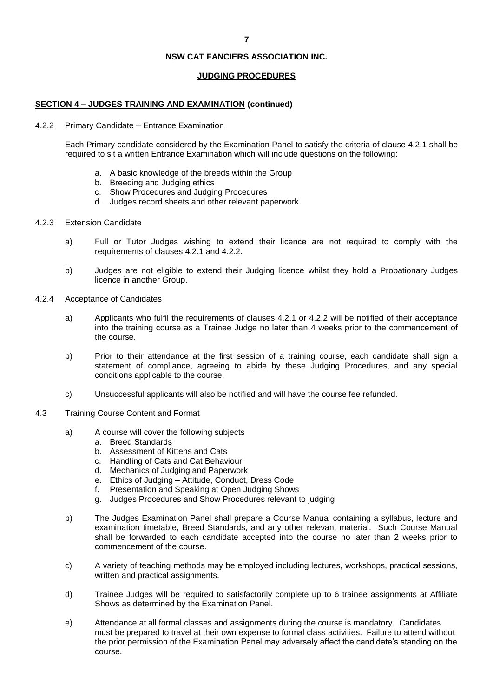#### **JUDGING PROCEDURES**

#### **SECTION 4 – JUDGES TRAINING AND EXAMINATION (continued)**

#### 4.2.2 Primary Candidate – Entrance Examination

Each Primary candidate considered by the Examination Panel to satisfy the criteria of clause 4.2.1 shall be required to sit a written Entrance Examination which will include questions on the following:

- a. A basic knowledge of the breeds within the Group
- b. Breeding and Judging ethics
- c. Show Procedures and Judging Procedures
- d. Judges record sheets and other relevant paperwork
- 4.2.3 Extension Candidate
	- a) Full or Tutor Judges wishing to extend their licence are not required to comply with the requirements of clauses 4.2.1 and 4.2.2.
	- b) Judges are not eligible to extend their Judging licence whilst they hold a Probationary Judges licence in another Group.
- 4.2.4 Acceptance of Candidates
	- a) Applicants who fulfil the requirements of clauses 4.2.1 or 4.2.2 will be notified of their acceptance into the training course as a Trainee Judge no later than 4 weeks prior to the commencement of the course.
	- b) Prior to their attendance at the first session of a training course, each candidate shall sign a statement of compliance, agreeing to abide by these Judging Procedures, and any special conditions applicable to the course.
	- c) Unsuccessful applicants will also be notified and will have the course fee refunded.
- 4.3 Training Course Content and Format
	- a) A course will cover the following subjects
		- a. Breed Standards
		- b. Assessment of Kittens and Cats
		- c. Handling of Cats and Cat Behaviour
		- d. Mechanics of Judging and Paperwork
		- e. Ethics of Judging Attitude, Conduct, Dress Code
		- f. Presentation and Speaking at Open Judging Shows
		- g. Judges Procedures and Show Procedures relevant to judging
	- b) The Judges Examination Panel shall prepare a Course Manual containing a syllabus, lecture and examination timetable, Breed Standards, and any other relevant material. Such Course Manual shall be forwarded to each candidate accepted into the course no later than 2 weeks prior to commencement of the course.
	- c) A variety of teaching methods may be employed including lectures, workshops, practical sessions, written and practical assignments.
	- d) Trainee Judges will be required to satisfactorily complete up to 6 trainee assignments at Affiliate Shows as determined by the Examination Panel.
	- e) Attendance at all formal classes and assignments during the course is mandatory. Candidates must be prepared to travel at their own expense to formal class activities. Failure to attend without the prior permission of the Examination Panel may adversely affect the candidate's standing on the course.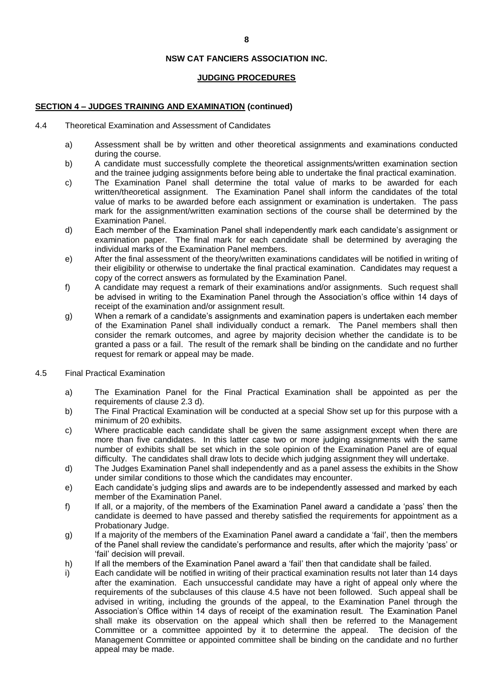## **JUDGING PROCEDURES**

### **SECTION 4 – JUDGES TRAINING AND EXAMINATION (continued)**

- 4.4 Theoretical Examination and Assessment of Candidates
	- a) Assessment shall be by written and other theoretical assignments and examinations conducted during the course.
	- b) A candidate must successfully complete the theoretical assignments/written examination section and the trainee judging assignments before being able to undertake the final practical examination.
	- c) The Examination Panel shall determine the total value of marks to be awarded for each written/theoretical assignment. The Examination Panel shall inform the candidates of the total value of marks to be awarded before each assignment or examination is undertaken. The pass mark for the assignment/written examination sections of the course shall be determined by the Examination Panel.
	- d) Each member of the Examination Panel shall independently mark each candidate's assignment or examination paper. The final mark for each candidate shall be determined by averaging the individual marks of the Examination Panel members.
	- e) After the final assessment of the theory/written examinations candidates will be notified in writing of their eligibility or otherwise to undertake the final practical examination. Candidates may request a copy of the correct answers as formulated by the Examination Panel.
	- f) A candidate may request a remark of their examinations and/or assignments. Such request shall be advised in writing to the Examination Panel through the Association's office within 14 days of receipt of the examination and/or assignment result.
	- g) When a remark of a candidate's assignments and examination papers is undertaken each member of the Examination Panel shall individually conduct a remark. The Panel members shall then consider the remark outcomes, and agree by majority decision whether the candidate is to be granted a pass or a fail. The result of the remark shall be binding on the candidate and no further request for remark or appeal may be made.
- 4.5 Final Practical Examination
	- a) The Examination Panel for the Final Practical Examination shall be appointed as per the requirements of clause 2.3 d).
	- b) The Final Practical Examination will be conducted at a special Show set up for this purpose with a minimum of 20 exhibits.
	- c) Where practicable each candidate shall be given the same assignment except when there are more than five candidates. In this latter case two or more judging assignments with the same number of exhibits shall be set which in the sole opinion of the Examination Panel are of equal difficulty. The candidates shall draw lots to decide which judging assignment they will undertake.
	- d) The Judges Examination Panel shall independently and as a panel assess the exhibits in the Show under similar conditions to those which the candidates may encounter.
	- e) Each candidate's judging slips and awards are to be independently assessed and marked by each member of the Examination Panel.
	- f) If all, or a majority, of the members of the Examination Panel award a candidate a 'pass' then the candidate is deemed to have passed and thereby satisfied the requirements for appointment as a Probationary Judge.
	- g) If a majority of the members of the Examination Panel award a candidate a 'fail', then the members of the Panel shall review the candidate's performance and results, after which the majority 'pass' or 'fail' decision will prevail.
	- h) If all the members of the Examination Panel award a 'fail' then that candidate shall be failed.
	- i) Each candidate will be notified in writing of their practical examination results not later than 14 days after the examination. Each unsuccessful candidate may have a right of appeal only where the requirements of the subclauses of this clause 4.5 have not been followed. Such appeal shall be advised in writing, including the grounds of the appeal, to the Examination Panel through the Association's Office within 14 days of receipt of the examination result. The Examination Panel shall make its observation on the appeal which shall then be referred to the Management Committee or a committee appointed by it to determine the appeal. The decision of the Management Committee or appointed committee shall be binding on the candidate and no further appeal may be made.